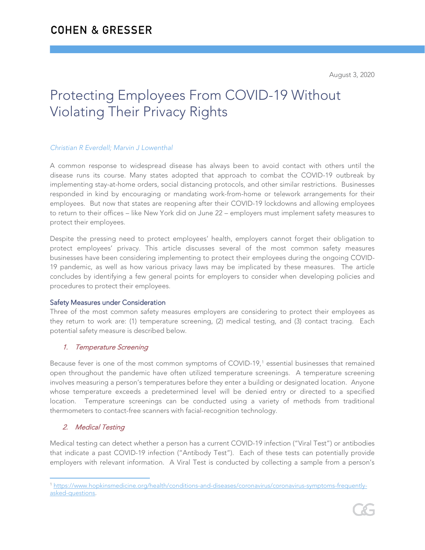# Protecting Employees From COVID-19 Without Violating Their Privacy Rights

#### *Christian R Everdell; Marvin J Lowenthal*

A common response to widespread disease has always been to avoid contact with others until the disease runs its course. Many states adopted that approach to combat the COVID-19 outbreak by implementing stay-at-home orders, social distancing protocols, and other similar restrictions. Businesses responded in kind by encouraging or mandating work-from-home or telework arrangements for their employees. But now that states are reopening after their COVID-19 lockdowns and allowing employees to return to their offices – like New York did on June 22 – employers must implement safety measures to protect their employees.

Despite the pressing need to protect employees' health, employers cannot forget their obligation to protect employees' privacy. This article discusses several of the most common safety measures businesses have been considering implementing to protect their employees during the ongoing COVID-19 pandemic, as well as how various privacy laws may be implicated by these measures. The article concludes by identifying a few general points for employers to consider when developing policies and procedures to protect their employees.

#### Safety Measures under Consideration

Three of the most common safety measures employers are considering to protect their employees as they return to work are: (1) temperature screening, (2) medical testing, and (3) contact tracing. Each potential safety measure is described below.

## 1. Temperature Screening

Because fever is one of the most common symptoms of COVID-[1](#page-0-0)9,<sup>1</sup> essential businesses that remained open throughout the pandemic have often utilized temperature screenings. A temperature screening involves measuring a person's temperatures before they enter a building or designated location. Anyone whose temperature exceeds a predetermined level will be denied entry or directed to a specified location. Temperature screenings can be conducted using a variety of methods from traditional thermometers to contact-free scanners with facial-recognition technology.

## 2. Medical Testing

Medical testing can detect whether a person has a current COVID-19 infection ("Viral Test") or antibodies that indicate a past COVID-19 infection ("Antibody Test"). Each of these tests can potentially provide employers with relevant information. A Viral Test is conducted by collecting a sample from a person's

<span id="page-0-0"></span> $\overline{a}$ <sup>1</sup> [https://www.hopkinsmedicine.org/health/conditions-and-diseases/coronavirus/coronavirus-symptoms-frequently](https://www.hopkinsmedicine.org/health/conditions-and-diseases/coronavirus/coronavirus-symptoms-frequently-asked-questions)[asked-questions.](https://www.hopkinsmedicine.org/health/conditions-and-diseases/coronavirus/coronavirus-symptoms-frequently-asked-questions)

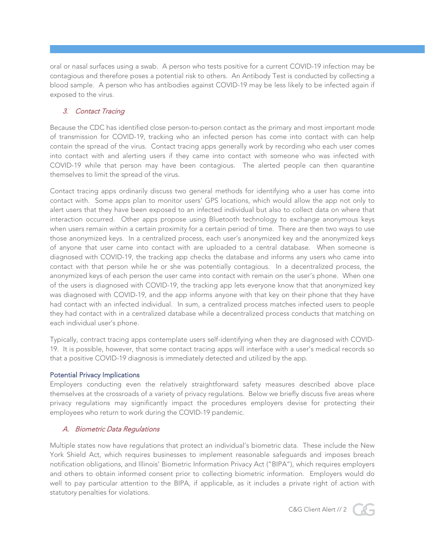oral or nasal surfaces using a swab. A person who tests positive for a current COVID-19 infection may be contagious and therefore poses a potential risk to others. An Antibody Test is conducted by collecting a blood sample. A person who has antibodies against COVID-19 may be less likely to be infected again if exposed to the virus.

# 3. Contact Tracing

Because the CDC has identified close person-to-person contact as the primary and most important mode of transmission for COVID-19, tracking who an infected person has come into contact with can help contain the spread of the virus. Contact tracing apps generally work by recording who each user comes into contact with and alerting users if they came into contact with someone who was infected with COVID-19 while that person may have been contagious. The alerted people can then quarantine themselves to limit the spread of the virus.

Contact tracing apps ordinarily discuss two general methods for identifying who a user has come into contact with. Some apps plan to monitor users' GPS locations, which would allow the app not only to alert users that they have been exposed to an infected individual but also to collect data on where that interaction occurred. Other apps propose using Bluetooth technology to exchange anonymous keys when users remain within a certain proximity for a certain period of time. There are then two ways to use those anonymized keys. In a centralized process, each user's anonymized key and the anonymized keys of anyone that user came into contact with are uploaded to a central database. When someone is diagnosed with COVID-19, the tracking app checks the database and informs any users who came into contact with that person while he or she was potentially contagious. In a decentralized process, the anonymized keys of each person the user came into contact with remain on the user's phone. When one of the users is diagnosed with COVID-19, the tracking app lets everyone know that that anonymized key was diagnosed with COVID-19, and the app informs anyone with that key on their phone that they have had contact with an infected individual. In sum, a centralized process matches infected users to people they had contact with in a centralized database while a decentralized process conducts that matching on each individual user's phone.

Typically, contract tracing apps contemplate users self-identifying when they are diagnosed with COVID-19. It is possible, however, that some contact tracing apps will interface with a user's medical records so that a positive COVID-19 diagnosis is immediately detected and utilized by the app.

#### Potential Privacy Implications

Employers conducting even the relatively straightforward safety measures described above place themselves at the crossroads of a variety of privacy regulations. Below we briefly discuss five areas where privacy regulations may significantly impact the procedures employers devise for protecting their employees who return to work during the COVID-19 pandemic.

## A. Biometric Data Regulations

Multiple states now have regulations that protect an individual's biometric data. These include the New York Shield Act, which requires businesses to implement reasonable safeguards and imposes breach notification obligations, and Illinois' Biometric Information Privacy Act ("BIPA"), which requires employers and others to obtain informed consent prior to collecting biometric information. Employers would do well to pay particular attention to the BIPA, if applicable, as it includes a private right of action with statutory penalties for violations.



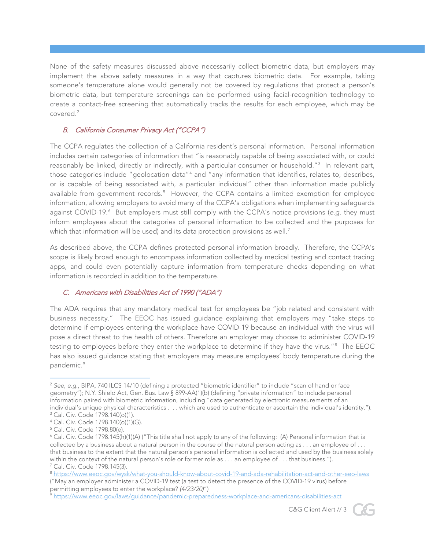None of the safety measures discussed above necessarily collect biometric data, but employers may implement the above safety measures in a way that captures biometric data. For example, taking someone's temperature alone would generally not be covered by regulations that protect a person's biometric data, but temperature screenings can be performed using facial-recognition technology to create a contact-free screening that automatically tracks the results for each employee, which may be covered.[2](#page-2-0)

## B. California Consumer Privacy Act ("CCPA")

The CCPA regulates the collection of a California resident's personal information. Personal information includes certain categories of information that "is reasonably capable of being associated with, or could reasonably be linked, directly or indirectly, with a particular consumer or household."[3](#page-2-1) In relevant part, those categories include "geolocation data"[4](#page-2-2) and "any information that identifies, relates to, describes, or is capable of being associated with, a particular individual" other than information made publicly available from government records.<sup>[5](#page-2-3)</sup> However, the CCPA contains a limited exemption for employee information, allowing employers to avoid many of the CCPA's obligations when implementing safeguards against COVID-19.<sup>[6](#page-2-4)</sup> But employers must still comply with the CCPA's notice provisions (e.g. they must inform employees about the categories of personal information to be collected and the purposes for which that information will be used) and its data protection provisions as well.<sup>[7](#page-2-5)</sup>

As described above, the CCPA defines protected personal information broadly. Therefore, the CCPA's scope is likely broad enough to encompass information collected by medical testing and contact tracing apps, and could even potentially capture information from temperature checks depending on what information is recorded in addition to the temperature.

## C. Americans with Disabilities Act of 1990 ("ADA")

The ADA requires that any mandatory medical test for employees be "job related and consistent with business necessity." The EEOC has issued guidance explaining that employers may "take steps to determine if employees entering the workplace have COVID-19 because an individual with the virus will pose a direct threat to the health of others. Therefore an employer may choose to administer COVID-19 testing to employees before they enter the workplace to determine if they have the virus."[8](#page-2-6) The EEOC has also issued guidance stating that employers may measure employees' body temperature during the pandemic.<sup>[9](#page-2-7)</sup>



<span id="page-2-0"></span> $\overline{a}$ <sup>2</sup> *See, e.g.*, BIPA, 740 ILCS 14/10 (defining a protected "biometric identifier" to include "scan of hand or face geometry"); N.Y. Shield Act, Gen. Bus. Law § 899-AA(1)(b) (defining "private information" to include personal information paired with biometric information, including "data generated by electronic measurements of an individual's unique physical characteristics . . . which are used to authenticate or ascertain the individual's identity."). <sup>3</sup> Cal. Civ. Code 1798.140(o)(1).

<span id="page-2-2"></span><span id="page-2-1"></span><sup>4</sup> Cal. Civ. Code 1798.140(o)(1)(G).

<span id="page-2-3"></span><sup>5</sup> Cal. Civ. Code 1798.80(e).

<span id="page-2-4"></span><sup>6</sup> Cal. Civ. Code 1798.145(h)(1)(A) ("This title shall not apply to any of the following: (A) Personal information that is collected by a business about a natural person in the course of the natural person acting as . . . an employee of . . . that business to the extent that the natural person's personal information is collected and used by the business solely within the context of the natural person's role or former role as . . . an employee of . . . that business."). <sup>7</sup> Cal. Civ. Code 1798.145(3).

<span id="page-2-6"></span><span id="page-2-5"></span><sup>8</sup> <https://www.eeoc.gov/wysk/what-you-should-know-about-covid-19-and-ada-rehabilitation-act-and-other-eeo-laws> ("May an employer administer a COVID-19 test (a test to detect the presence of the COVID-19 virus) before permitting employees to enter the workplace? *(4/23/20)*")

<span id="page-2-7"></span><sup>9</sup> <https://www.eeoc.gov/laws/guidance/pandemic-preparedness-workplace-and-americans-disabilities-act>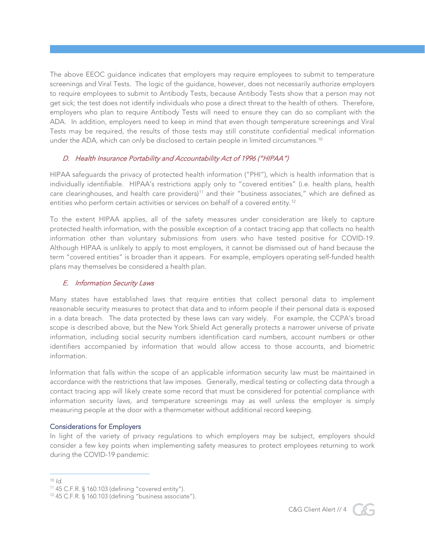The above EEOC guidance indicates that employers may require employees to submit to temperature screenings and Viral Tests. The logic of the guidance, however, does not necessarily authorize employers to require employees to submit to Antibody Tests, because Antibody Tests show that a person may not get sick; the test does not identify individuals who pose a direct threat to the health of others. Therefore, employers who plan to require Antibody Tests will need to ensure they can do so compliant with the ADA. In addition, employers need to keep in mind that even though temperature screenings and Viral Tests may be required, the results of those tests may still constitute confidential medical information under the ADA, which can only be disclosed to certain people in limited circumstances.<sup>[10](#page-3-0)</sup>

## D. Health Insurance Portability and Accountability Act of 1996 ("HIPAA")

HIPAA safeguards the privacy of protected health information ("PHI"), which is health information that is individually identifiable. HIPAA's restrictions apply only to "covered entities" (i.e. health plans, health care clearinghouses, and health care providers)<sup>[11](#page-3-1)</sup> and their "business associates," which are defined as entities who perform certain activities or services on behalf of a covered entity.<sup>[12](#page-3-2)</sup>

To the extent HIPAA applies, all of the safety measures under consideration are likely to capture protected health information, with the possible exception of a contact tracing app that collects no health information other than voluntary submissions from users who have tested positive for COVID-19. Although HIPAA is unlikely to apply to most employers, it cannot be dismissed out of hand because the term "covered entities" is broader than it appears. For example, employers operating self-funded health plans may themselves be considered a health plan.

#### E. Information Security Laws

Many states have established laws that require entities that collect personal data to implement reasonable security measures to protect that data and to inform people if their personal data is exposed in a data breach. The data protected by these laws can vary widely. For example, the CCPA's broad scope is described above, but the New York Shield Act generally protects a narrower universe of private information, including social security numbers identification card numbers, account numbers or other identifiers accompanied by information that would allow access to those accounts, and biometric information.

Information that falls within the scope of an applicable information security law must be maintained in accordance with the restrictions that law imposes. Generally, medical testing or collecting data through a contact tracing app will likely create some record that must be considered for potential compliance with information security laws, and temperature screenings may as well unless the employer is simply measuring people at the door with a thermometer without additional record keeping.

#### Considerations for Employers

In light of the variety of privacy regulations to which employers may be subject, employers should consider a few key points when implementing safety measures to protect employees returning to work during the COVID-19 pandemic:



 $\overline{a}$  $10 \,$ Id.

<span id="page-3-1"></span><span id="page-3-0"></span><sup>11</sup> 45 C.F.R. § 160.103 (defining "covered entity").

<span id="page-3-2"></span><sup>12</sup> 45 C.F.R. § 160.103 (defining "business associate").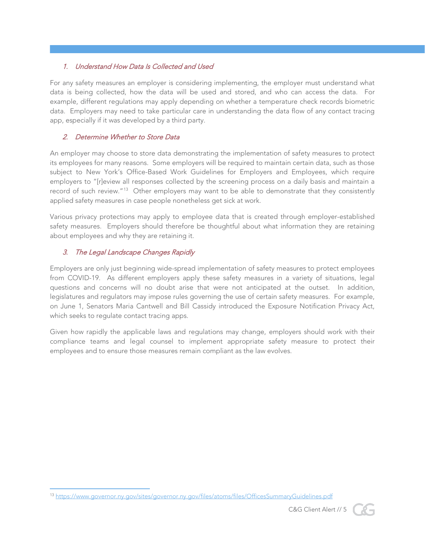# 1. Understand How Data Is Collected and Used

For any safety measures an employer is considering implementing, the employer must understand what data is being collected, how the data will be used and stored, and who can access the data. For example, different regulations may apply depending on whether a temperature check records biometric data. Employers may need to take particular care in understanding the data flow of any contact tracing app, especially if it was developed by a third party.

## 2. Determine Whether to Store Data

An employer may choose to store data demonstrating the implementation of safety measures to protect its employees for many reasons. Some employers will be required to maintain certain data, such as those subject to New York's Office-Based Work Guidelines for Employers and Employees, which require employers to "[r]eview all responses collected by the screening process on a daily basis and maintain a record of such review."<sup>13</sup> Other employers may want to be able to demonstrate that they consistently applied safety measures in case people nonetheless get sick at work.

Various privacy protections may apply to employee data that is created through employer-established safety measures. Employers should therefore be thoughtful about what information they are retaining about employees and why they are retaining it.

# 3. The Legal Landscape Changes Rapidly

Employers are only just beginning wide-spread implementation of safety measures to protect employees from COVID-19. As different employers apply these safety measures in a variety of situations, legal questions and concerns will no doubt arise that were not anticipated at the outset. In addition, legislatures and regulators may impose rules governing the use of certain safety measures. For example, on June 1, Senators Maria Cantwell and Bill Cassidy introduced the Exposure Notification Privacy Act, which seeks to regulate contact tracing apps.

Given how rapidly the applicable laws and regulations may change, employers should work with their compliance teams and legal counsel to implement appropriate safety measure to protect their employees and to ensure those measures remain compliant as the law evolves.



<span id="page-4-0"></span> $\overline{a}$ <sup>13</sup> <https://www.governor.ny.gov/sites/governor.ny.gov/files/atoms/files/OfficesSummaryGuidelines.pdf>